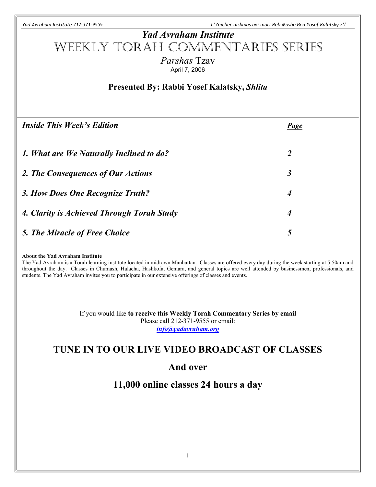*Yad Avraham Institute 212-371-9555 L'Zeicher nishmas avi mori Reb Moshe Ben Yosef Kalatsky z'l*

# *Yad Avraham Institute* Weekly Torah Commentaries Series *Parshas* Tzav April 7, 2006

## **Presented By: Rabbi Yosef Kalatsky,** *Shlita*

| <b>Inside This Week's Edition</b>          | <b>Page</b>          |
|--------------------------------------------|----------------------|
| 1. What are We Naturally Inclined to do?   | $\overline{2}$       |
| 2. The Consequences of Our Actions         | $\boldsymbol{\beta}$ |
| 3. How Does One Recognize Truth?           | $\overline{4}$       |
| 4. Clarity is Achieved Through Torah Study | $\overline{4}$       |
| 5. The Miracle of Free Choice              | 5                    |

#### **About the Yad Avraham Institute**

The Yad Avraham is a Torah learning institute located in midtown Manhattan. Classes are offered every day during the week starting at 5:50am and throughout the day. Classes in Chumash, Halacha, Hashkofa, Gemara, and general topics are well attended by businessmen, professionals, and students. The Yad Avraham invites you to participate in our extensive offerings of classes and events.

> If you would like **to receive this Weekly Torah Commentary Series by email** Please call 212-371-9555 or email: *info@yadavraham.org*

## **TUNE IN TO OUR LIVE VIDEO BROADCAST OF CLASSES**

### **And over**

## **11,000 online classes 24 hours a day**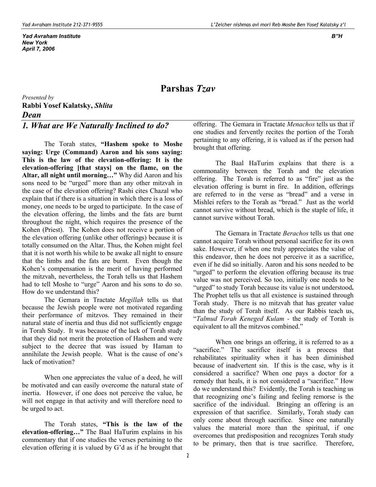#### **Parshas** *Tzav*

*Presented by* **Rabbi Yosef Kalatsky,** *Shlita Dean*

#### *1. What are We Naturally Inclined to do?*

The Torah states, **"Hashem spoke to Moshe saying: Urge (Command) Aaron and his sons saying: This is the law of the elevation-offering: It is the elevation-offering [that stays] on the flame, on the Altar, all night until morning…"** Why did Aaron and his sons need to be "urged" more than any other mitzvah in the case of the elevation offering? Rashi cites Chazal who explain that if there is a situation in which there is a loss of money, one needs to be urged to participate. In the case of the elevation offering, the limbs and the fats are burnt throughout the night, which requires the presence of the Kohen (Priest). The Kohen does not receive a portion of the elevation offering (unlike other offerings) because it is totally consumed on the Altar. Thus, the Kohen might feel that it is not worth his while to be awake all night to ensure that the limbs and the fats are burnt. Even though the Kohen's compensation is the merit of having performed the mitzvah, nevertheless, the Torah tells us that Hashem had to tell Moshe to "urge" Aaron and his sons to do so. How do we understand this?

The Gemara in Tractate *Megillah* tells us that because the Jewish people were not motivated regarding their performance of mitzvos. They remained in their natural state of inertia and thus did not sufficiently engage in Torah Study. It was because of the lack of Torah study that they did not merit the protection of Hashem and were subject to the decree that was issued by Haman to annihilate the Jewish people. What is the cause of one's lack of motivation?

When one appreciates the value of a deed, he will be motivated and can easily overcome the natural state of inertia. However, if one does not perceive the value, he will not engage in that activity and will therefore need to be urged to act.

 The Torah states, **"This is the law of the elevation-offering…"** The Baal HaTurim explains in his commentary that if one studies the verses pertaining to the elevation offering it is valued by G'd as if he brought that offering. The Gemara in Tractate *Menachos* tells us that if one studies and fervently recites the portion of the Torah pertaining to any offering, it is valued as if the person had brought that offering.

The Baal HaTurim explains that there is a commonality between the Torah and the elevation offering. The Torah is referred to as "fire" just as the elevation offering is burnt in fire. In addition, offerings are referred to in the verse as "bread" and a verse in Mishlei refers to the Torah as "bread." Just as the world cannot survive without bread, which is the staple of life, it cannot survive without Torah.

The Gemara in Tractate *Berachos* tells us that one cannot acquire Torah without personal sacrifice for its own sake. However, if when one truly appreciates the value of this endeavor, then he does not perceive it as a sacrifice, even if he did so initially. Aaron and his sons needed to be "urged" to perform the elevation offering because its true value was not perceived. So too, initially one needs to be "urged" to study Torah because its value is not understood**.** The Prophet tells us that all existence is sustained through Torah study. There is no mitzvah that has greater value than the study of Torah itself. As our Rabbis teach us, "*Talmud Torah Keneged Kulam -* the study of Torah is equivalent to all the mitzvos combined."

When one brings an offering, it is referred to as a "sacrifice." The sacrifice itself is a process that rehabilitates spirituality when it has been diminished because of inadvertent sin. If this is the case, why is it considered a sacrifice? When one pays a doctor for a remedy that heals, it is not considered a "sacrifice." How do we understand this? Evidently, the Torah is teaching us that recognizing one's failing and feeling remorse is the sacrifice of the individual. Bringing an offering is an expression of that sacrifice. Similarly, Torah study can only come about through sacrifice. Since one naturally values the material more than the spiritual, if one overcomes that predisposition and recognizes Torah study to be primary, then that is true sacrifice. Therefore,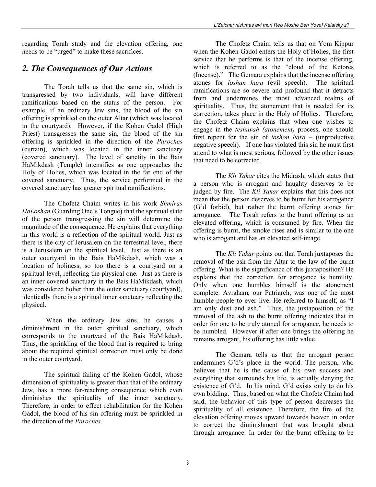regarding Torah study and the elevation offering, one needs to be "urged" to make these sacrifices.

#### *2. The Consequences of Our Actions*

The Torah tells us that the same sin, which is transgressed by two individuals, will have different ramifications based on the status of the person. For example, if an ordinary Jew sins, the blood of the sin offering is sprinkled on the outer Altar (which was located in the courtyard). However, if the Kohen Gadol (High Priest) transgresses the same sin, the blood of the sin offering is sprinkled in the direction of the *Paroches* (curtain), which was located in the inner sanctuary (covered sanctuary). The level of sanctity in the Bais HaMikdash (Temple) intensifies as one approaches the Holy of Holies, which was located in the far end of the covered sanctuary. Thus, the service performed in the covered sanctuary has greater spiritual ramifications.

The Chofetz Chaim writes in his work *Shmiras HaLoshan* (Guarding One's Tongue) that the spiritual state of the person transgressing the sin will determine the magnitude of the consequence. He explains that everything in this world is a reflection of the spiritual world. Just as there is the city of Jerusalem on the terrestrial level, there is a Jerusalem on the spiritual level. Just as there is an outer courtyard in the Bais HaMikdash, which was a location of holiness, so too there is a courtyard on a spiritual level, reflecting the physical one. Just as there is an inner covered sanctuary in the Bais HaMikdash, which was considered holier than the outer sanctuary (courtyard), identically there is a spiritual inner sanctuary reflecting the physical.

When the ordinary Jew sins, he causes a diminishment in the outer spiritual sanctuary, which corresponds to the courtyard of the Bais HaMikdash. Thus, the sprinkling of the blood that is required to bring about the required spiritual correction must only be done in the outer courtyard.

The spiritual failing of the Kohen Gadol, whose dimension of spirituality is greater than that of the ordinary Jew, has a more far-reaching consequence which even diminishes the spirituality of the inner sanctuary. Therefore, in order to effect rehabilitation for the Kohen Gadol, the blood of his sin offering must be sprinkled in the direction of the *Paroches.*

The Chofetz Chaim tells us that on Yom Kippur when the Kohen Gadol enters the Holy of Holies, the first service that he performs is that of the incense offering, which is referred to as the "cloud of the Ketores (Incense)." The Gemara explains that the incense offering atones for *loshan hara* (evil speech). The spiritual ramifications are so severe and profound that it detracts from and undermines the most advanced realms of spirituality. Thus, the atonement that is needed for its correction, takes place in the Holy of Holies. Therefore, the Chofetz Chaim explains that when one wishes to engage in the *teshuvah (atonement)* process, one should first repent for the sin of *loshon hara –* (unproductive negative speech)*.* If one has violated this sin he must first attend to what is most serious, followed by the other issues that need to be corrected.

The *Kli Yakar* cites the Midrash, which states that a person who is arrogant and haughty deserves to be judged by fire. The *Kli Yakar* explains that this does not mean that the person deserves to be burnt for his arrogance (G'd forbid), but rather the burnt offering atones for arrogance. The Torah refers to the burnt offering as an elevated offering, which is consumed by fire. When the offering is burnt, the smoke rises and is similar to the one who is arrogant and has an elevated self-image.

The *Kli Yakar* points out that Torah juxtaposes the removal of the ash from the Altar to the law of the burnt offering. What is the significance of this juxtaposition? He explains that the correction for arrogance is humility. Only when one humbles himself is the atonement complete. Avraham, our Patriarch, was one of the most humble people to ever live. He referred to himself, as "I am only dust and ash." Thus, the juxtaposition of the removal of the ash to the burnt offering indicates that in order for one to be truly atoned for arrogance, he needs to be humbled. However if after one brings the offering he remains arrogant, his offering has little value.

The Gemara tells us that the arrogant person undermines G'd's place in the world. The person, who believes that he is the cause of his own success and everything that surrounds his life, is actually denying the existence of G'd. In his mind, G'd exists only to do his own bidding. Thus, based on what the Chofetz Chaim had said, the behavior of this type of person decreases the spirituality of all existence. Therefore, the fire of the elevation offering moves upward towards heaven in order to correct the diminishment that was brought about through arrogance. In order for the burnt offering to be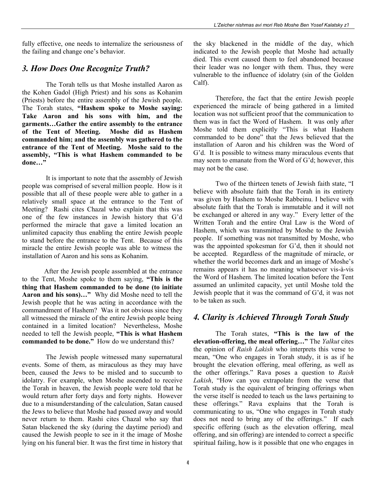fully effective, one needs to internalize the seriousness of the failing and change one's behavior.

#### *3. How Does One Recognize Truth?*

The Torah tells us that Moshe installed Aaron as the Kohen Gadol (High Priest) and his sons as Kohanim (Priests) before the entire assembly of the Jewish people. The Torah states, **"Hashem spoke to Moshe saying: Take Aaron and his sons with him, and the garments…Gather the entire assembly to the entrance of the Tent of Meeting. Moshe did as Hashem commanded him; and the assembly was gathered to the entrance of the Tent of Meeting. Moshe said to the assembly, "This is what Hashem commanded to be done…"**

It is important to note that the assembly of Jewish people was comprised of several million people. How is it possible that all of these people were able to gather in a relatively small space at the entrance to the Tent of Meeting? Rashi cites Chazal who explain that this was one of the few instances in Jewish history that G'd performed the miracle that gave a limited location an unlimited capacity thus enabling the entire Jewish people to stand before the entrance to the Tent. Because of this miracle the entire Jewish people was able to witness the installation of Aaron and his sons as Kohanim.

After the Jewish people assembled at the entrance to the Tent, Moshe spoke to them saying, **"This is the thing that Hashem commanded to be done (to initiate Aaron and his sons)…"** Why did Moshe need to tell the Jewish people that he was acting in accordance with the commandment of Hashem? Was it not obvious since they all witnessed the miracle of the entire Jewish people being contained in a limited location? Nevertheless, Moshe needed to tell the Jewish people, **"This is what Hashem commanded to be done."** How do we understand this?

The Jewish people witnessed many supernatural events. Some of them, as miraculous as they may have been, caused the Jews to be misled and to succumb to idolatry. For example, when Moshe ascended to receive the Torah in heaven, the Jewish people were told that he would return after forty days and forty nights. However due to a misunderstanding of the calculation, Satan caused the Jews to believe that Moshe had passed away and would never return to them. Rashi cites Chazal who say that Satan blackened the sky (during the daytime period) and caused the Jewish people to see in it the image of Moshe lying on his funeral bier. It was the first time in history that the sky blackened in the middle of the day, which indicated to the Jewish people that Moshe had actually died. This event caused them to feel abandoned because their leader was no longer with them. Thus, they were vulnerable to the influence of idolatry (sin of the Golden Calf).

Therefore, the fact that the entire Jewish people experienced the miracle of being gathered in a limited location was not sufficient proof that the communication to them was in fact the Word of Hashem. It was only after Moshe told them explicitly "This is what Hashem commanded to be done" that the Jews believed that the installation of Aaron and his children was the Word of G'd. It is possible to witness many miraculous events that may seem to emanate from the Word of G'd; however, this may not be the case.

Two of the thirteen tenets of Jewish faith state, "I believe with absolute faith that the Torah in its entirety was given by Hashem to Moshe Rabbeinu. I believe with absolute faith that the Torah is immutable and it will not be exchanged or altered in any way." Every letter of the Written Torah and the entire Oral Law is the Word of Hashem, which was transmitted by Moshe to the Jewish people. If something was not transmitted by Moshe, who was the appointed spokesman for G'd, then it should not be accepted. Regardless of the magnitude of miracle, or whether the world becomes dark and an image of Moshe's remains appears it has no meaning whatsoever vis-à-vis the Word of Hashem. The limited location before the Tent assumed an unlimited capacity, yet until Moshe told the Jewish people that it was the command of G'd, it was not to be taken as such.

### *4. Clarity is Achieved Through Torah Study*

The Torah states, **"This is the law of the elevation-offering, the meal offering…"** The *Yalkut* cites the opinion of *Raish Lakish* who interprets this verse to mean, "One who engages in Torah study, it is as if he brought the elevation offering, meal offering, as well as the other offerings." Rava poses a question to *Raish Lakish*, "How can you extrapolate from the verse that Torah study is the equivalent of bringing offerings when the verse itself is needed to teach us the laws pertaining to these offerings." Rava explains that the Torah is communicating to us, "One who engages in Torah study does not need to bring any of the offerings." If each specific offering (such as the elevation offering, meal offering, and sin offering) are intended to correct a specific spiritual failing, how is it possible that one who engages in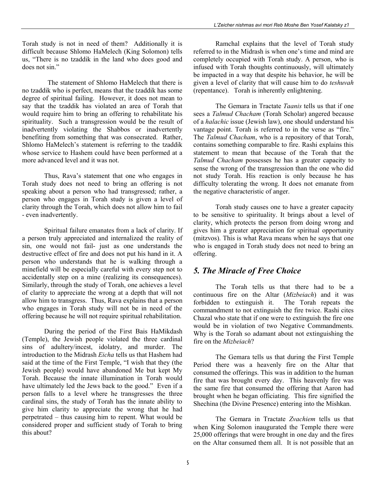Torah study is not in need of them? Additionally it is difficult because Shlomo HaMelech (King Solomon) tells us, "There is no tzaddik in the land who does good and does not sin."

 The statement of Shlomo HaMelech that there is no tzaddik who is perfect, means that the tzaddik has some degree of spiritual failing. However, it does not mean to say that the tzaddik has violated an area of Torah that would require him to bring an offering to rehabilitate his spirituality. Such a transgression would be the result of inadvertently violating the Shabbos or inadvertently benefiting from something that was consecrated. Rather, Shlomo HaMelech's statement is referring to the tzaddik whose service to Hashem could have been performed at a more advanced level and it was not.

Thus, Rava's statement that one who engages in Torah study does not need to bring an offering is not speaking about a person who had transgressed; rather, a person who engages in Torah study is given a level of clarity through the Torah, which does not allow him to fail - even inadvertently.

Spiritual failure emanates from a lack of clarity. If a person truly appreciated and internalized the reality of sin, one would not fail- just as one understands the destructive effect of fire and does not put his hand in it. A person who understands that he is walking through a minefield will be especially careful with every step not to accidentally step on a mine (realizing its consequences). Similarly, through the study of Torah, one achieves a level of clarity to appreciate the wrong at a depth that will not allow him to transgress. Thus, Rava explains that a person who engages in Torah study will not be in need of the offering because he will not require spiritual rehabilitation.

During the period of the First Bais HaMikdash (Temple), the Jewish people violated the three cardinal sins of adultery/incest, idolatry, and murder. The introduction to the Midrash *Eicha* tells us that Hashem had said at the time of the First Temple, "I wish that they (the Jewish people) would have abandoned Me but kept My Torah. Because the innate illumination in Torah would have ultimately led the Jews back to the good." Even if a person falls to a level where he transgresses the three cardinal sins, the study of Torah has the innate ability to give him clarity to appreciate the wrong that he had perpetrated – thus causing him to repent. What would be considered proper and sufficient study of Torah to bring this about?

Ramchal explains that the level of Torah study referred to in the Midrash is when one's time and mind are completely occupied with Torah study. A person, who is infused with Torah thoughts continuously, will ultimately be impacted in a way that despite his behavior, he will be given a level of clarity that will cause him to do *teshuvah* (repentance). Torah is inherently enlightening.

The Gemara in Tractate *Taanis* tells us that if one sees a *Talmud Chacham* (Torah Scholar) angered because of a *halachic* issue (Jewish law), one should understand his vantage point. Torah is referred to in the verse as "fire." The *Talmud Chacham*, who is a repository of that Torah, contains something comparable to fire. Rashi explains this statement to mean that because of the Torah that the *Talmud Chacham* possesses he has a greater capacity to sense the wrong of the transgression than the one who did not study Torah. His reaction is only because he has difficulty tolerating the wrong. It does not emanate from the negative characteristic of anger.

Torah study causes one to have a greater capacity to be sensitive to spirituality. It brings about a level of clarity, which protects the person from doing wrong and gives him a greater appreciation for spiritual opportunity (mitzvos). This is what Rava means when he says that one who is engaged in Torah study does not need to bring an offering.

#### *5. The Miracle of Free Choice*

The Torah tells us that there had to be a continuous fire on the Altar (*Mizbeiach*) and it was forbidden to extinguish it. The Torah repeats the commandment to not extinguish the fire twice. Rashi cites Chazal who state that if one were to extinguish the fire one would be in violation of two Negative Commandments. Why is the Torah so adamant about not extinguishing the fire on the *Mizbeiach*?

The Gemara tells us that during the First Temple Period there was a heavenly fire on the Altar that consumed the offerings. This was in addition to the human fire that was brought every day. This heavenly fire was the same fire that consumed the offering that Aaron had brought when he began officiating. This fire signified the Shechina (the Divine Presence) entering into the Mishkan.

The Gemara in Tractate *Zvachiem* tells us that when King Solomon inaugurated the Temple there were 25,000 offerings that were brought in one day and the fires on the Altar consumed them all. It is not possible that an